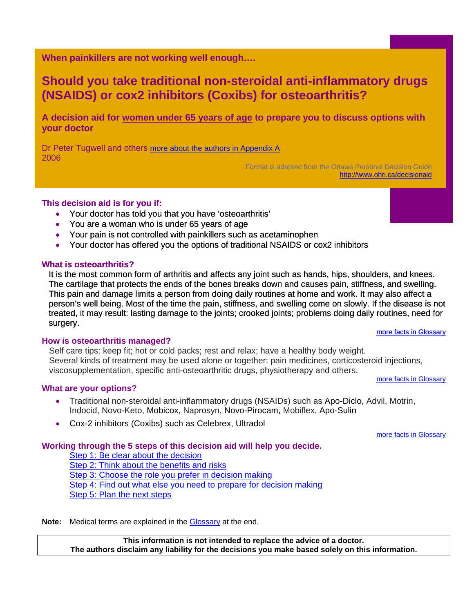<span id="page-0-0"></span>**When painkillers are not working well enough….** 

# **Should you take traditional non-steroidal anti-inflammatory drugs (NSAIDS) or cox2 inhibitors (Coxibs) for osteoarthritis?**

**A decision aid for women under 65 years of age to prepare you to discuss options with your doctor** 

Dr Peter Tugwell and others [more about the authors in Appendix A](#page-5-0) 2006

Format is adapted from the Ottawa Personal Decision Guide <http://www.ohri.ca/decisionaid>

#### **This decision aid is for you if:**

- Your doctor has told you that you have 'osteoarthritis'
- You are a woman who is under 65 years of age
- Your pain is not controlled with painkillers such as acetaminophen
- Your doctor has offered you the options of traditional NSAIDS or cox2 inhibitors

#### **What is osteoarthritis?**

It is the most common form of arthritis and affects any joint such as hands, hips, shoulders, and knees. The cartilage that protects the ends of the bones breaks down and causes pain, stiffness, and swelling. This pain and damage limits a person from doing daily routines at home and work. It may also affect a person's well being. Most of the time the pain, stiffness, and swelling come on slowly. If the disease is not treated, it may result: lasting damage to the joints; crooked joints; problems doing daily routines, need for surgery. [more facts in Glossary](#page-6-0)

#### **How is osteoarthritis managed?**

Self care tips: keep fit; hot or cold packs; rest and relax; have a healthy body weight. Several kinds of treatment may be used alone or together: pain medicines, corticosteroid injections, viscosupplementation, specific anti-osteoarthritic drugs, physiotherapy and others. [more facts in Glossary](#page-6-0)

**What are your options?** 

- Traditional non-steroidal anti-inflammatory drugs (NSAIDs) such as Apo-Diclo, Advil, Motrin, Indocid, Novo-Keto, Mobicox, Naprosyn, Novo-Pirocam, Mobiflex, Apo-Sulin
- Cox-2 inhibitors (Coxibs) such as Celebrex, Ultradol

[more facts in Glossary](#page-6-0)

#### **Working through the 5 steps of this decision aid will help you decide.**

[Step 1: Be clear about the decision](#page-1-0) [Step 2: Think about the benefits and risks](#page-2-0) Step 3: Choose [the role you prefer in decision makin](#page-4-0)g [Step 4: Find out what else you need to prepare for decision making](#page-4-0) [Step 5: Plan the next steps](#page-4-0)

Note: Medical terms are explained in the **Glossary** at the end.

**This information is not intended to replace the advice of a doctor. The authors disclaim any liability for the decisions you make based solely on this information.**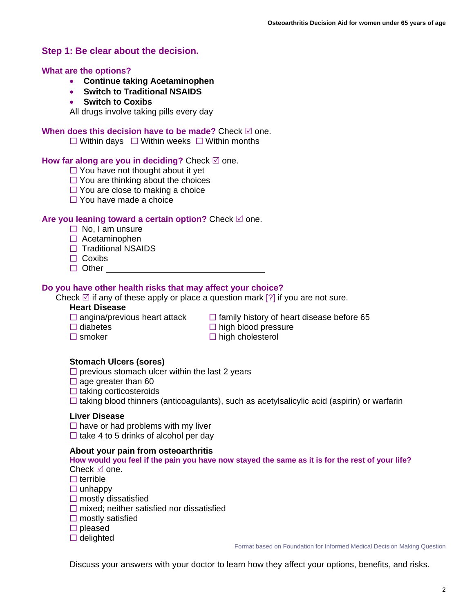## <span id="page-1-0"></span>**Step 1: Be clear about the decision.**

#### **What are the options?**

- **Continue taking Acetaminophen**
- **Switch to Traditional NSAIDS**
- **Switch to Coxibs**

All drugs involve taking pills every day

#### **When does this decision have to be made?** Check  $\boxtimes$  one.

 $\Box$  Within days  $\Box$  Within weeks  $\Box$  Within months

#### **How far along are you in deciding?** Check  $\mathbb{Z}$  one.

- $\Box$  You have not thought about it yet
- $\Box$  You are thinking about the choices
- $\Box$  You are close to making a choice
- $\Box$  You have made a choice

#### **Are you leaning toward a certain option?** Check ⊠ one.

- $\Box$  No. I am unsure
- $\Box$  Acetaminophen
- $\Box$  Traditional NSAIDS
- $\Box$  Coxibs
- $\Box$  Other

#### **Do you have other health risks that may affect your choice?**

Check  $\boxtimes$  if any of these apply or place a question mark [?] if you are not sure.

#### **Heart Disease**

- 
- 
- 

 $\Box$  angina/previous heart attack  $\Box$  family history of heart disease before 65  $\Box$  diabetes

 $\Box$  high blood pressure

 $\Box$  smoker  $\Box$  high cholesterol

#### **Stomach Ulcers (sores)**

 $\square$  previous stomach ulcer within the last 2 years

- $\Box$  age greater than 60
- $\Box$  taking corticosteroids
- $\Box$  taking blood thinners (anticoagulants), such as acetylsalicylic acid (aspirin) or warfarin

#### **Liver Disease**

 $\Box$  have or had problems with my liver  $\Box$  take 4 to 5 drinks of alcohol per day

#### **About your pain from osteoarthritis**

#### **How would you feel if the pain you have now stayed the same as it is for the rest of your life?**  Check  $\boxtimes$  one.

- $\Box$  terrible
- $\Box$  unhappy
- $\square$  mostly dissatisfied
- $\Box$  mixed; neither satisfied nor dissatisfied
- $\square$  mostly satisfied
- $\square$  pleased
- $\Box$  delighted

Format based on Foundation for Informed Medical Decision Making Question

Discuss your answers with your doctor to learn how they affect your options, benefits, and risks.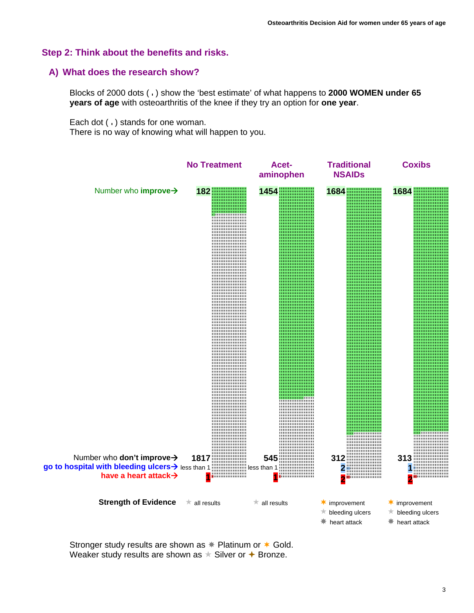#### <span id="page-2-0"></span>**Step 2: Think about the benefits and risks.**

#### **A) What does the research show?**

Blocks of 2000 dots ( ) show the 'best estimate' of what happens to **2000 WOMEN under 65 years of age** with osteoarthritis of the knee if they try an option for **one year**.

Each dot ( ) stands for one woman.

There is no way of knowing what will happen to you.



Stronger study results are shown as  $*$  Platinum or  $*$  Gold. Weaker study results are shown as  $\star$  Silver or  $\star$  Bronze.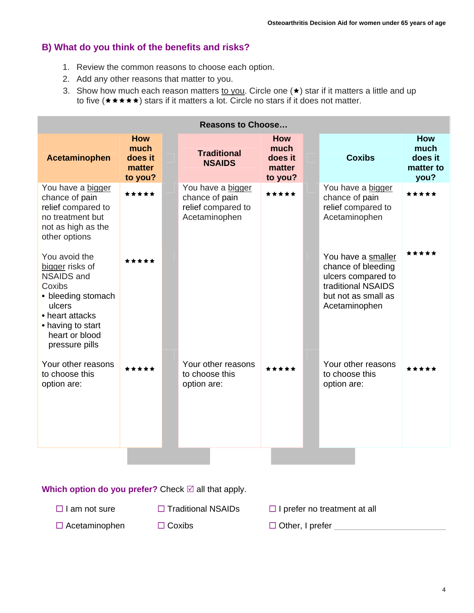# **B) What do you think of the benefits and risks?**

- 1. Review the common reasons to choose each option.
- 2. Add any other reasons that matter to you.
- 3. Show how much each reason matters to you. Circle one  $(\star)$  star if it matters a little and up to five  $(\star \star \star \star)$  stars if it matters a lot. Circle no stars if it does not matter.

| <b>Reasons to Choose</b>                                                                                                                                                    |                                                    |  |                                                                            |                                                    |  |                                                                                                                              |                                             |
|-----------------------------------------------------------------------------------------------------------------------------------------------------------------------------|----------------------------------------------------|--|----------------------------------------------------------------------------|----------------------------------------------------|--|------------------------------------------------------------------------------------------------------------------------------|---------------------------------------------|
| <b>Acetaminophen</b>                                                                                                                                                        | <b>How</b><br>much<br>does it<br>matter<br>to you? |  | <b>Traditional</b><br><b>NSAIDS</b>                                        | <b>How</b><br>much<br>does it<br>matter<br>to you? |  | <b>Coxibs</b>                                                                                                                | How<br>much<br>does it<br>matter to<br>you? |
| You have a bigger<br>chance of pain<br>relief compared to<br>no treatment but<br>not as high as the<br>other options                                                        | *****                                              |  | You have a bigger<br>chance of pain<br>relief compared to<br>Acetaminophen | *****                                              |  | You have a bigger<br>chance of pain<br>relief compared to<br>Acetaminophen                                                   | *****                                       |
| You avoid the<br>bigger risks of<br><b>NSAIDS and</b><br>Coxibs<br>• bleeding stomach<br>ulcers<br>• heart attacks<br>• having to start<br>heart or blood<br>pressure pills | *****                                              |  |                                                                            |                                                    |  | You have a smaller<br>chance of bleeding<br>ulcers compared to<br>traditional NSAIDS<br>but not as small as<br>Acetaminophen | *****                                       |
| Your other reasons<br>to choose this<br>option are:                                                                                                                         | *****                                              |  | Your other reasons<br>to choose this<br>option are:                        | *****                                              |  | Your other reasons<br>to choose this<br>option are:                                                                          | *****                                       |

**Which option do you prefer?** Check ⊠ all that apply.

- $\Box$  I am not sure  $\Box$  Traditional NSAIDs  $\Box$  I prefer no treatment at all
- □ Acetaminophen □ Coxibs □ Other, I prefer
-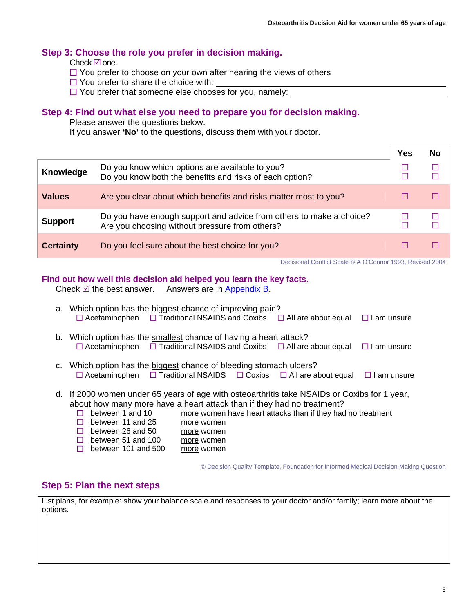### <span id="page-4-0"></span>**[Step 3](#page-0-0): Choose the role you prefer in decision making.**

Check  $\boxtimes$  one.

- $\Box$  You prefer to choose on your own after hearing the views of others
- $\Box$  You prefer to share the choice with:
- □ You prefer that someone else chooses for you, namely:

### **Step 4: Find out what else you need to prepare you for decision making.**

Please answer the questions below.

If you answer **'No'** to the questions, discuss them with your doctor.

|                  |                                                                                                                       | Yes | No |
|------------------|-----------------------------------------------------------------------------------------------------------------------|-----|----|
| Knowledge        | Do you know which options are available to you?<br>Do you know both the benefits and risks of each option?            |     |    |
| <b>Values</b>    | Are you clear about which benefits and risks matter most to you?                                                      |     |    |
| <b>Support</b>   | Do you have enough support and advice from others to make a choice?<br>Are you choosing without pressure from others? |     |    |
| <b>Certainty</b> | Do you feel sure about the best choice for you?                                                                       |     |    |

Decisional Conflict Scale © A O'Connor 1993, Revised 2004

#### **Find out how well this decision aid helped you learn the key facts.**

Check  $\mathbb Z$  the best answer. Answers are in [Appendix B](#page-5-0).

| a. Which option has the biggest chance of improving pain?<br>$\Box$ Acetaminophen $\Box$ Traditional NSAIDS and Coxibs $\Box$ All are about equal<br>$\Box$ I am unsure                                                                                                                                                                              |
|------------------------------------------------------------------------------------------------------------------------------------------------------------------------------------------------------------------------------------------------------------------------------------------------------------------------------------------------------|
| b. Which option has the smallest chance of having a heart attack?<br>$\Box$ Acetaminophen $\Box$ Traditional NSAIDS and Coxibs $\Box$ All are about equal<br>$\Box$ I am unsure                                                                                                                                                                      |
| c. Which option has the biggest chance of bleeding stomach ulcers?<br>$\Box$ Acetaminophen $\Box$ Traditional NSAIDS $\Box$ Coxibs $\Box$ All are about equal<br>$\Box$ I am unsure                                                                                                                                                                  |
| d. If 2000 women under 65 years of age with osteoarthritis take NSAIDs or Coxibs for 1 year,<br>about how many more have a heart attack than if they had no treatment?<br>more women have heart attacks than if they had no treatment<br>between 1 and 10<br>H<br>between 11 and 25<br>$\mathsf{L}$<br>more women<br>between 26 and 50<br>more women |

 $\Box$  between 51 and 100 more women

 $\Box$  between 101 and 500 more women

© Decision Quality Template, Foundation for Informed Medical Decision Making Question

# **Step 5: Plan the next steps**

List plans, for example: show your balance scale and responses to your doctor and/or family; learn more about the options.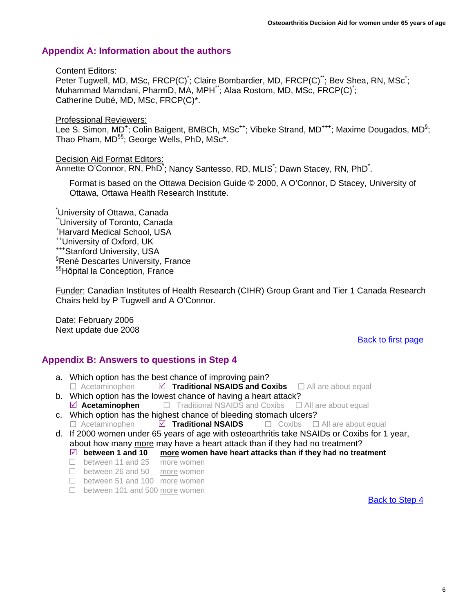# <span id="page-5-0"></span>**Appendix A: Information about the authors**

#### Content Editors:

Peter Tugwell, MD, MSc, FRCP(C)<sup>\*</sup>; Claire Bombardier, MD, FRCP(C)<sup>\*\*</sup>; Bev Shea, RN, MSc<sup>\*</sup>; Muhammad Mamdani, PharmD, MA, MPH\*\*; Alaa Rostom, MD, MSc, FRCP(C)\* ; Catherine Dubé, MD, MSc, FRCP(C)\*.

Professional Reviewers:

Lee S. Simon, MD<sup>+</sup>; Colin Baigent, BMBCh, MSc<sup>++</sup>; Vibeke Strand, MD<sup>+++</sup>; Maxime Dougados, MD<sup>§</sup>; Thao Pham, MD<sup>§§</sup>; George Wells, PhD, MSc<sup>\*</sup>.

#### Decision Aid Format Editors:

Annette O'Connor, RN, PhD<sup>\*</sup>; Nancy Santesso, RD, MLIS<sup>\*</sup>; Dawn Stacey, RN, PhD<sup>\*</sup>.

Format is based on the Ottawa Decision Guide © 2000, A O'Connor, D Stacey, University of Ottawa, Ottawa Health Research Institute.

\* University of Ottawa, Canada \*\*University of Toronto, Canada + Harvard Medical School, USA ++University of Oxford, UK +++Stanford University, USA § René Descartes University, France §§Hôpital la Conception, France

Funder: Canadian Institutes of Health Research (CIHR) Group Grant and Tier 1 Canada Research Chairs held by P Tugwell and A O'Connor.

Date: February 2006 Next update due 2008

### [Back to first page](#page-0-0)

# **Appendix B: Answers to questions in Step 4**

- a. Which option has the best chance of improving pain? □ Acetaminophen *□* **Traditional NSAIDS and Coxibs** □ All are about equal
- b. Which option has the lowest chance of having a heart attack?  $\Box$  **Acetaminophen**  $\Box$  **Traditional NSAIDS and Coxibs**  $\Box$  All are about equal
- c. Which option has the highest chance of bleeding stomach ulcers?<br>  $\Box$  Acetaminophen  $\Box$  **Traditional NSAIDS**  $\Box$  Coxibs  $\Box$  $\Box$  **Traditional NSAIDS**  $\Box$  Coxibs  $\Box$  All are about equal
- d. If 2000 women under 65 years of age with osteoarthritis take NSAIDs or Coxibs for 1 year, about how many more may have a heart attack than if they had no treatment?
	- $\boxtimes$  between 1 and 10 more women have heart attacks than if they had no treatment
	- □ between 11 and 25 more women
	- □ between 26 and 50 more women
	- □ between 51 and 100 more women
	- □ between 101 and 500 more women

[Back to Step 4](#page-4-0)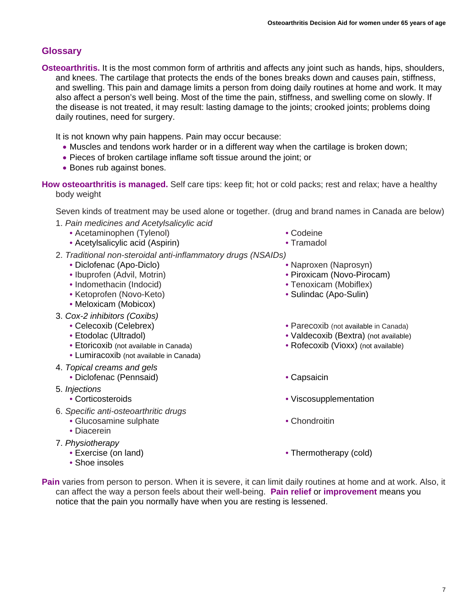# <span id="page-6-0"></span>**Glossary**

**Osteoarthritis.** It is the most common form of arthritis and affects any joint such as hands, hips, shoulders, and knees. The cartilage that protects the ends of the bones breaks down and causes pain, stiffness, and swelling. This pain and damage limits a person from doing daily routines at home and work. It may also affect a person's well being. Most of the time the pain, stiffness, and swelling come on slowly. If the disease is not treated, it may result: lasting damage to the joints; crooked joints; problems doing daily routines, need for surgery.

It is not known why pain happens. Pain may occur because:

- Muscles and tendons work harder or in a different way when the cartilage is broken down;
- Pieces of broken cartilage inflame soft tissue around the joint; or
- Bones rub against bones.

**How osteoarthritis is managed.** Self care tips: keep fit; hot or cold packs; rest and relax; have a healthy body weight

Seven kinds of treatment may be used alone or together. (drug and brand names in Canada are below)

- 1. *Pain medicines and Acetylsalicylic acid*
	- Acetaminophen (Tylenol)
	- Acetylsalicylic acid (Aspirin)
- 2. *Traditional non-steroidal anti-inflammatory drugs (NSAIDs)* 
	- Diclofenac (Apo-Diclo)
	- Ibuprofen (Advil, Motrin)
	- Indomethacin (Indocid)
	- Ketoprofen (Novo-Keto)
	- Meloxicam (Mobicox)
- 3. *Cox-2 inhibitors (Coxibs)*
	- Celecoxib (Celebrex)
	- Etodolac (Ultradol)
	- Etoricoxib (not available in Canada)
	- Lumiracoxib (not available in Canada)
- 4. *Topical creams and gels*
	- Diclofenac (Pennsaid) Capsaicin
- 5. *Injections*
	-
- 6. *Specific anti-osteoarthritic drugs*
	- Glucosamine sulphate
	- Diacerein
- 7. *Physiotherapy* 
	- Exercise (on land)
	- Shoe insoles
- Codeine
- Tramadol
- Naproxen (Naprosyn)
- 
- Piroxicam (Novo-Pirocam)
- Tenoxicam (Mobiflex) • Sulindac (Apo-Sulin)
- 
- Parecoxib (not available in Canada)
- Valdecoxib (Bextra) (not available)
- Rofecoxib (Vioxx) (not available)
- 
- Corticosteroids Viscosupplementation
	- Chondroitin
	- Thermotherapy (cold)
- **Pain** varies from person to person. When it is severe, it can limit daily routines at home and at work. Also, it can affect the way a person feels about their well-being. **Pain relief** or **improvement** means you notice that the pain you normally have when you are resting is lessened.